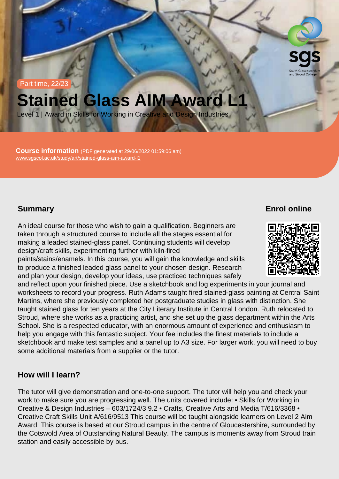Part time, 22/23

# Stained Glass AIM Award L1

Level 1 | Award in Skills for Working in Creative and Design Industries

Course information (PDF generated at 29/06/2022 01:59:06 am) [www.sgscol.ac.uk/study/art/stained-glass-aim-award-l1](https://www.sgscol.ac.uk/study/art/stained-glass-aim-award-l1)

## **Summary**

Enrol online

An ideal course for those who wish to gain a qualification. Beginners are taken through a structured course to include all the stages essential for making a leaded stained-glass panel. Continuing students will develop design/craft skills, experimenting further with kiln-fired paints/stains/enamels. In this course, you will gain the knowledge and skills to produce a finished leaded glass panel to your chosen design. Research and plan your design, develop your ideas, use practiced techniques safely and reflect upon your finished piece. Use a sketchbook and log experiments in your journal and worksheets to record your progress. Ruth Adams taught fired stained-glass painting at Central Saint Martins, where she previously completed her postgraduate studies in glass with distinction. She taught stained glass for ten years at the City Literary Institute in Central London. Ruth relocated to Stroud, where she works as a practicing artist, and she set up the glass department within the Arts School. She is a respected educator, with an enormous amount of experience and enthusiasm to help you engage with this fantastic subject. Your fee includes the finest materials to include a sketchbook and make test samples and a panel up to A3 size. For larger work, you will need to buy some additional materials from a supplier or the tutor.

#### How will I learn?

The tutor will give demonstration and one-to-one support. The tutor will help you and check your work to make sure you are progressing well. The units covered include: • Skills for Working in Creative & Design Industries – 603/1724/3 9.2 • Crafts, Creative Arts and Media T/616/3368 • Creative Craft Skills Unit A/616/9513 This course will be taught alongside learners on Level 2 Aim Award. This course is based at our Stroud campus in the centre of Gloucestershire, surrounded by the Cotswold Area of Outstanding Natural Beauty. The campus is moments away from Stroud train station and easily accessible by bus.